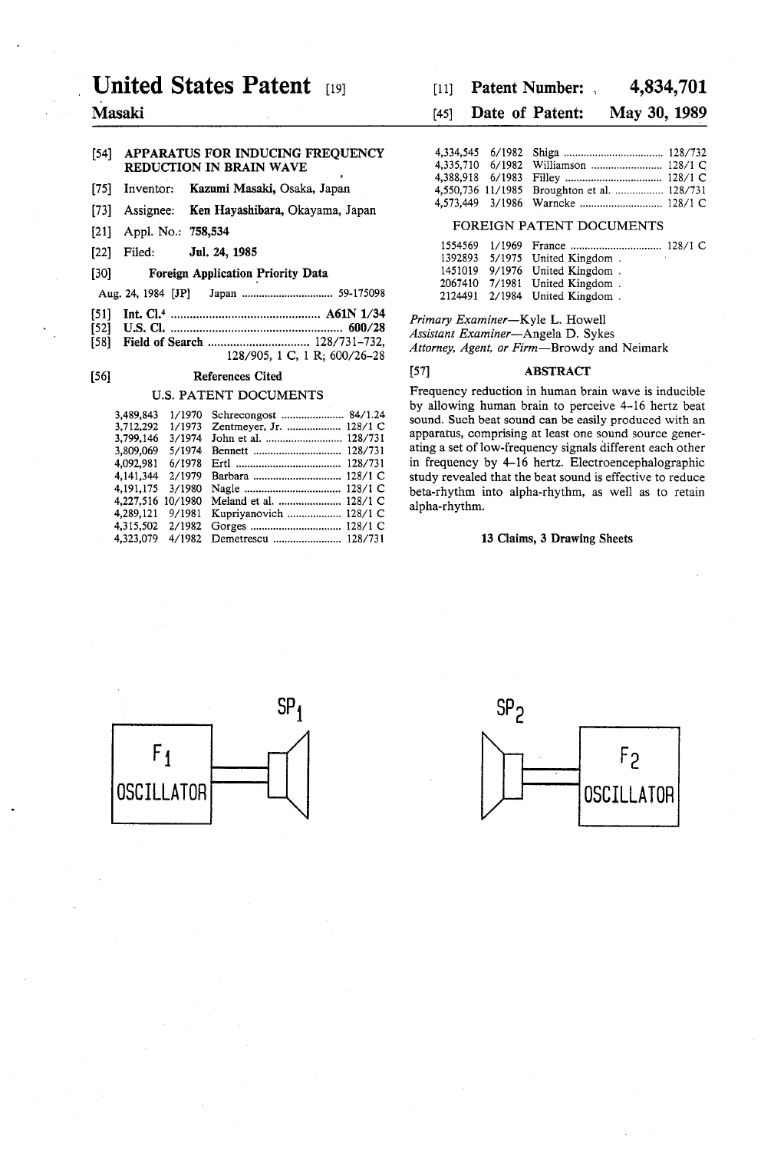# United States Patent [19]

Masaki

# (54) APPARATUS FOR INDUCING FREQUENCY REDUCTION IN BRAIN WAVE

- [75] Inventor: Kazumi Masaki, Osaka, Japan
- 73) Assignee: Ken Hayashibara, Okayama, Japan
- [21] Appl. No.: 758,534
- 22 Filed: Jul. 24, 1985

# 30) Foreign Application Priority Data

- Aug. 24, 1984 JP Japan ................................ 59-175098
- 51) Int. Cl." ............................................... A61N 1/34
- 52 U.S. Cl. ...................................................... 600/28 58) Field of Search ................................ 128/731-732,
- 128/905, 1 C, 1 R; 600/26-28

# 56) References Cited

# U.S. PATENT DOCUMENTS

| 3.489.843 | 1/1970  |                         |
|-----------|---------|-------------------------|
| 3.712.292 | 1/1973  | Zentmeyer, Jr.  128/1 C |
| 3,799,146 | 3/1974  |                         |
| 3,809,069 | 5/1974  |                         |
| 4.092.981 | 6/1978  |                         |
| 4.141.344 | 2/1979  |                         |
| 4.191.175 | 3/1980  |                         |
| 4,227,516 | 10/1980 | Meland et al.  128/1 C  |
| 4.289.121 | 9/1981  | Kupriyanovich  128/1 C  |
| 4.315.502 | 2/1982  |                         |
| 4.323.079 | 4/1982  | Demetrescu  128/731     |

#### 4,834,701  $[11]$  Patent Number: ,

#### May 30, 1989 (45) Date of Patent:

|  | 4,550,736 11/1985 Broughton et al.  128/731 |  |
|--|---------------------------------------------|--|
|  |                                             |  |

# FOREIGN PATENT DOCUMENTS

|  | 1392893 5/1975 United Kingdom. |
|--|--------------------------------|
|  | 1451019 9/1976 United Kingdom. |
|  | 2067410 7/1981 United Kingdom. |
|  | 2124491 2/1984 United Kingdom. |

Primary Examiner-Kyle L. Howell Assistant Examiner-Angela D. Sykes Attorney, Agent, or Firm-Browdy and Neimark

# (57) ABSTRACT

Frequency reduction in human brain wave is inducible by allowing human brain to perceive 4-16 hertz beat sound. Such beat sound can be easily produced with an apparatus, comprising at least one sound source generating a set of low-frequency signals different each other in frequency by 4-16 hertz. Electroencephalographic study revealed that the beat sound is effective to reduce beta-rhythm into alpha-rhythm, as well as to retain alpha-rhythm.

# 13 Claims, 3 Drawing Sheets



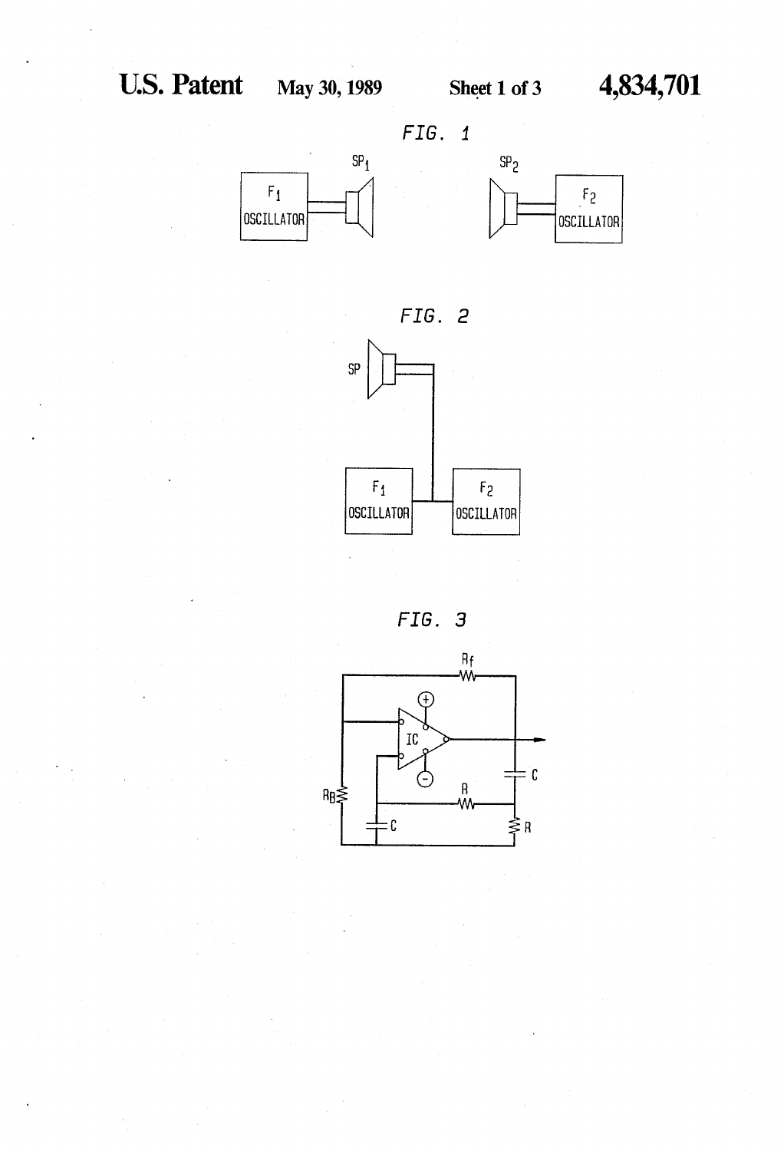





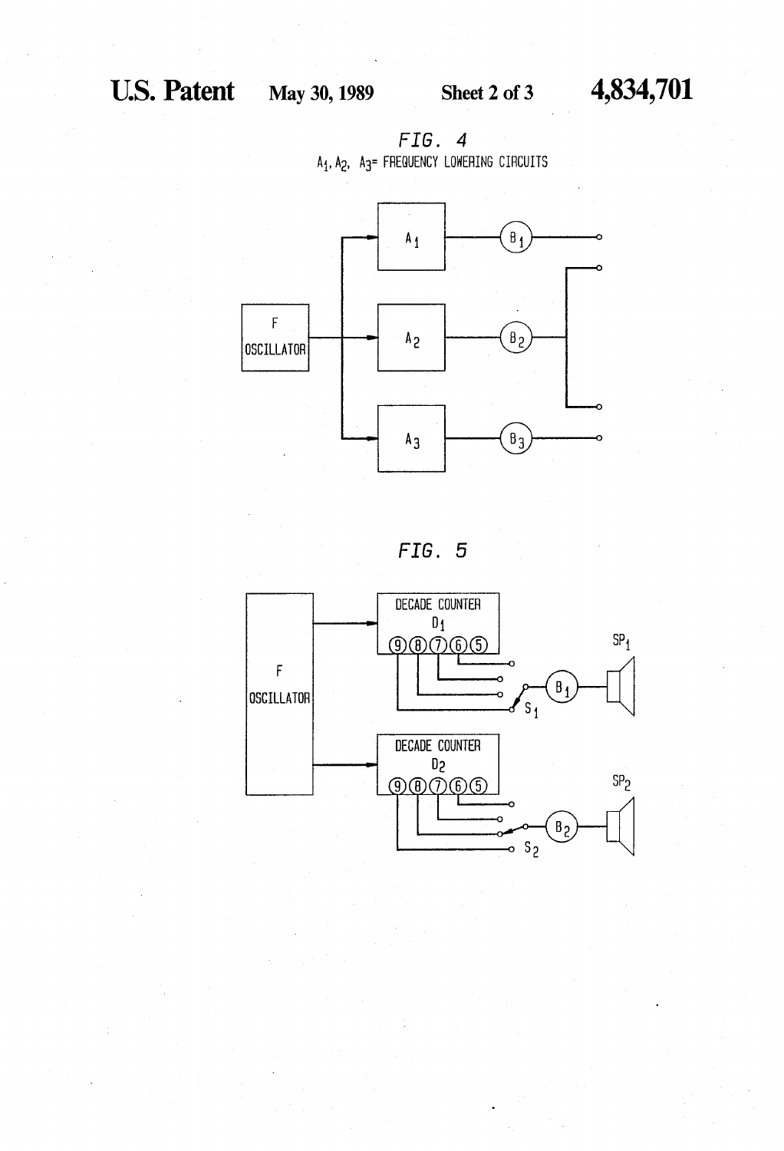





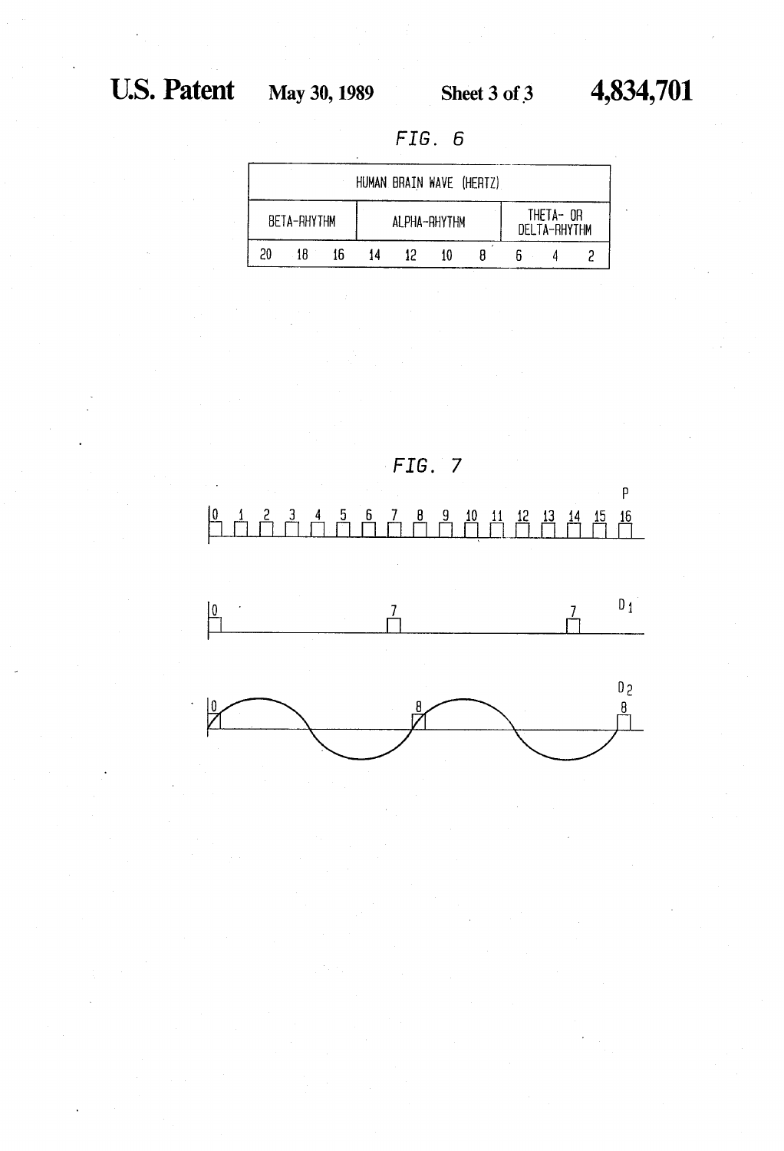FIG. 6

| HUMAN BRAIN WAVE (HERTZ) |             |    |              |  |    |                           |  |  |  |
|--------------------------|-------------|----|--------------|--|----|---------------------------|--|--|--|
|                          | BETA-RHYTHM |    | ALPHA-RHYTHM |  |    | THETA- OR<br>DELTA-RHYTHM |  |  |  |
| 20                       | 18          | 16 | 14           |  | 10 |                           |  |  |  |

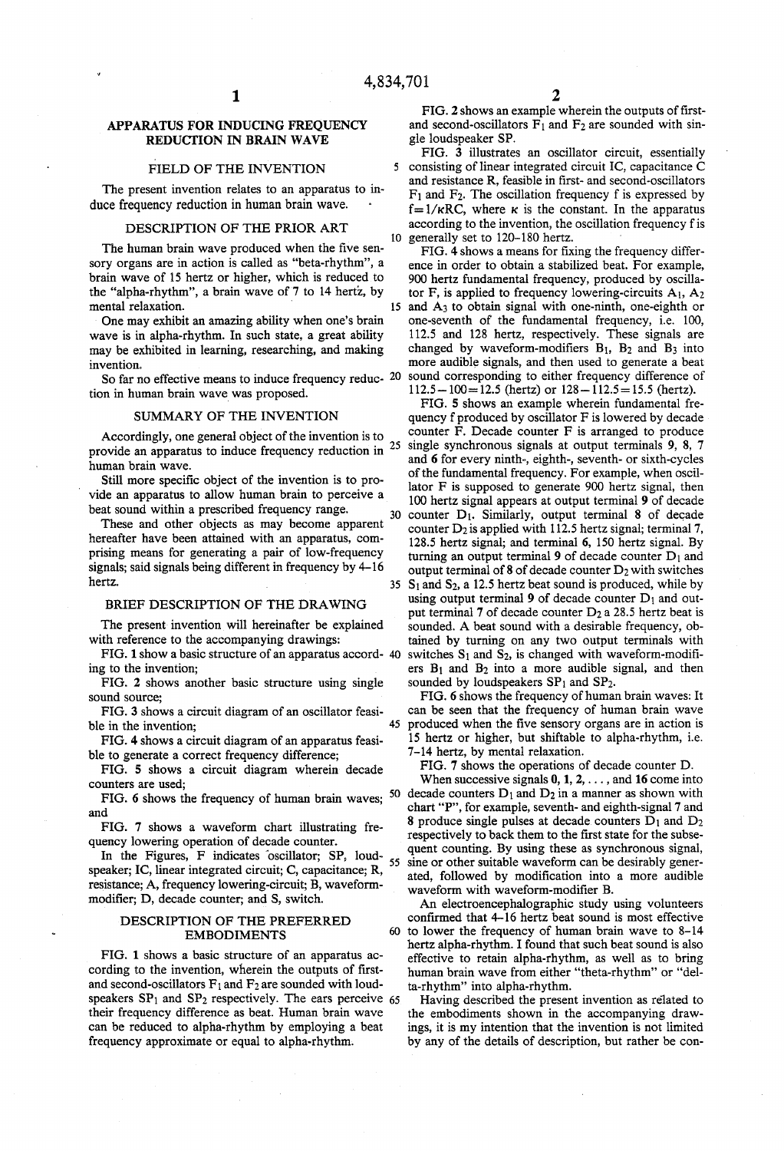5

# APPARATUS FOR INDUCING FREQUENCY REDUCTION IN BRAIN WAVE

#### FIELD OF THE INVENTION

The present invention relates to an apparatus to in duce frequency reduction in human brain wave.

# DESCRIPTION OF THE PRIOR ART

The human brain wave produced when the five sen sory organs are in action is called as "beta-rhythm', a brain wave of 15 hertz or higher, which is reduced to the "alpha-rhythm', a brain wave of 7 to 14 hertz, by mental relaxation.

One may exhibit an amazing ability when one's brain wave is in alpha-rhythm. In such state, a great ability may be exhibited in learning, researching, and making invention.

So far no effective means to induce frequency reduc-  $20$ tion in human brain wave was proposed.

### SUMMARY OF THE INVENTION

Accordingly, one general object of the invention is to provide an apparatus to induce frequency reduction in  $25$ 

human brain wave.<br>Still more specific object of the invention is to provide an apparatus to allow human brain to perceive a beat sound within a prescribed frequency range. 30

These and other objects as may become apparent hereafter have been attained with an apparatus, comprising means for generating a pair of low-frequency signals; said signals being different in frequency by 4-16 hertz.

### BRIEF DESCRIPTION OF THE DRAWING

The present invention will hereinafter be explained with reference to the accompanying drawings:

FIG. 1 show a basic structure of an apparatus accord ing to the invention;

FIG. 2 shows another basic structure using single sound source;

FIG. 3 shows a circuit diagram of an oscillator feasi ble in the invention;

FIG. 4 shows a circuit diagram of an apparatus feasi ble to generate a correct frequency difference;

FIG. 5 shows a circuit diagram wherein decade counters are used;

and

FIG. 7 shows a waveform chart illustrating fre quency lowering operation of decade counter.

In the Figures, F indicates oscillator;  $SP$ , loud-<br>color IC linese integrated circuit: C conseitance:  $P$ speaker; IC, linear integrated circuit; C, capacitance; R, resistance; A, frequency lowering-circuit; B, waveform modifier; D, decade counter; and S, switch.

#### DESCRIPTION OF THE PREFERRED EMBODIMENTS

FIG. 1 shows a basic structure of an apparatus ac cording to the invention, wherein the outputs of first and second-oscillators  $F_1$  and  $F_2$  are sounded with loudspeakers  $SP<sub>1</sub>$  and  $SP<sub>2</sub>$  respectively. The ears perceive 65 their frequency difference as beat. Human brain wave can be reduced to alpha-rhythm by employing a beat frequency approximate or equal to alpha-rhythm.

FIG. 2 shows an example wherein the outputs of first and second-oscillators  $F_1$  and  $F_2$  are sounded with single loudspeaker SP.<br>FIG. 3 illustrates an oscillator circuit, essentially

10 consisting of linear integrated circuit IC, capacitance C and resistance R, feasible in first- and second-oscillators F<sub>1</sub> and F<sub>2</sub>. The oscillation frequency f is expressed by  $f=1/\kappa RC$ , where  $\kappa$  is the constant. In the apparatus according to the invention, the oscillation frequency f is generally set to 120-180 hertz.

15 and A3 to obtain signal with one-ninth, one-eighth or FIG. 4 shows a means for fixing the frequency difference in order to obtain a stabilized beat. For example, 900 hertz fundamental frequency, produced by oscillator F, is applied to frequency lowering-circuits  $A_1$ ,  $A_2$ one-seventh of the fundamental frequency, i.e. 100, 112.5 and 128 hertz, respectively. These signals are changed by waveform-modifiers  $B_1$ ,  $B_2$  and  $B_3$  into more audible signals, and then used to generate a beat sound corresponding to either frequency difference of  $112.5 - 100 = 12.5$  (hertz) or  $128 - 112.5 = 15.5$  (hertz).

35  $S_1$  and  $S_2$ , a 12.5 hertz beat sound is produced, while by FIG. 5 shows an example wherein fundamental fre quency f produced by oscillator  $F$  is lowered by decade counter  $F$ . Decade counter  $F$  is arranged to produce single synchronous signals at output terminals 9, 8, 7 and 6 for every ninth-, eighth-, seventh- or sixth-cycles of the fundamental frequency. For example, when oscil lator F is supposed to generate 900 hertz signal, then 100 hertz signal appears at output terminal 9 of decade counter D<sub>1</sub>. Similarly, output terminal 8 of decade counter  $D_2$  is applied with 112.5 hertz signal; terminal 7, 128.5 hertz signal; and terminal 6, 150 hertz signal. By turning an output terminal 9 of decade counter  $D_1$  and output terminal of  $8$  of decade counter  $D_2$  with switches using output terminal 9 of decade counter  $D_1$  and output terminal  $7$  of decade counter  $D_2$  a 28.5 hertz beat is sounded. A beat sound with a desirable frequency, ob tained by turning on any two output terminals with switches  $S_1$  and  $S_2$ , is changed with waveform-modifiers  $B_1$  and  $B_2$  into a more audible signal, and then sounded by loudspeakers  $SP<sub>1</sub>$  and  $SP<sub>2</sub>$ .

FIG. 6 shows the frequency of human brain waves: It can be seen that the frequency of human brain wave produced when the five sensory organs are in action is 15 hertz or higher, but shiftable to alpha-rhythm, i.e. 7-14 hertz, by mental relaxation.

FIG. 7 shows the operations of decade counter D.

FIG. 6 shows the frequency of human brain waves;  $^{50}$  decade counters  $D_1$  and  $D_2$  in a manner as shown with When successive signals  $0, 1, 2, \ldots$ , and 16 come into chart "P", for example, seventh- and eighth-signal 7 and 8 produce single pulses at decade counters  $D_1$  and  $D_2$ respectively to back them to the first state for the subse quent counting. By using these as synchronous signal, sine or other suitable waveform can be desirably gener ated, followed by modification into a more audible waveform with waveform-modifier B.

> 60 to lower the frequency of human brain wave to 8-14 An electroencephalographic study using volunteers confirmed that 4-16 hertz beat sound is most effective hertz alpha-rhythm. I found that such beat sound is also effective to retain alpha-rhythm, as well as to bring human brain wave from either "theta-rhythm' or "del ta-rhythm' into alpha-rhythm.

Having described the present invention as related to the embodiments shown in the accompanying draw ings, it is my intention that the invention is not limited by any of the details of description, but rather be con

45